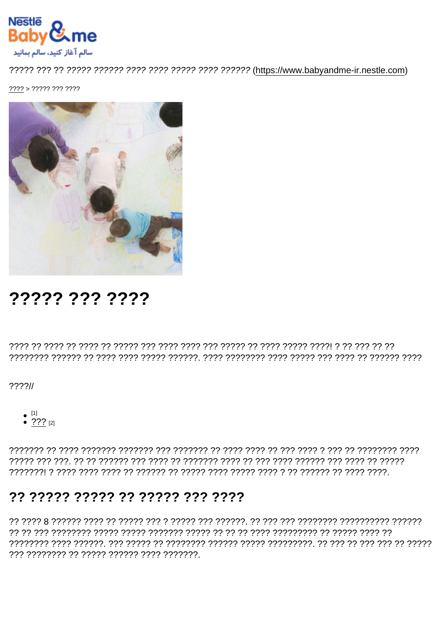$???? > ????? ??? ????$ 

# ????? ??? ????

 $??\frac{??}{/}$ 

- 
- $^{[1]}$ <br>•  $^{[2]}$   $^{[2]}$

## ?? ????? ????? ?? ????? ??? ????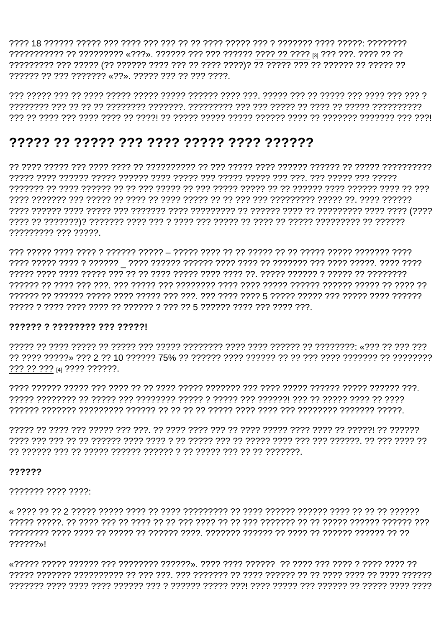?????? ?? ??? ??????? «??», ????? ??? ?? ??? ????.

### 

רְרְרְרָךְ רְרָךְ רְרָרְרָ רְרָךְ, רְרָךְ רְרָךְ רְרָרְרָךְ רְרָרָךְ רְרָרְךָ רְרָרְרָךְ רְרָרְרָךְ רְרָרְרָךָ רְרָרְרָךָ הַלְרָרָךְ בְּרִרְרָךְ הַלְרָרָה הַלְרָרָה הַלְרָרָה הַלְרָרָה הַלְר רְרְרְיָן רְרִרְרָ רְרִרְרָ רְרִרְרְרְרָרָ רֹךְ רִרְרָרָ רִרְרְרִרְרָ רִרְרְרְרָרָ רְרִרְרָ רְרִרְרָ רְרָרָךְ רְרִרְרָךְ בְּרִרְרָךְ בְּרִרְרָךְ בְּרִרְרָ 777777777 777 77777

#### 777777 7 77777777 777 777771

??? ?? ??? [4] ???? ??????.

#### ??????

#### 

ררך רורך דרך הרוביך רובין דרך לך רך הרובין רוב דרך רך רך לרוב רוב רך רב רוב רך רוב רובן רוב הרובין רובין 222222»I